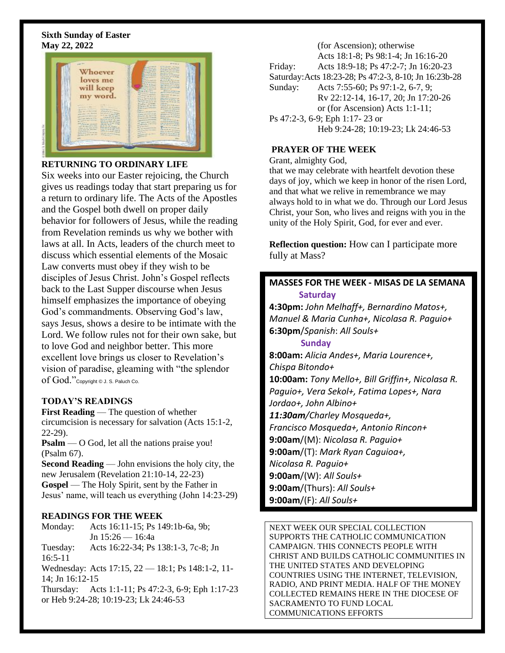### **Sixth Sunday of Easter May 22, 2022**



# **RETURNING TO ORDINARY LIFE**

Six weeks into our Easter rejoicing, the Church gives us readings today that start preparing us for a return to ordinary life. The Acts of the Apostles and the Gospel both dwell on proper daily behavior for followers of Jesus, while the reading from Revelation reminds us why we bother with laws at all. In Acts, leaders of the church meet to discuss which essential elements of the Mosaic Law converts must obey if they wish to be disciples of Jesus Christ. John's Gospel reflects back to the Last Supper discourse when Jesus himself emphasizes the importance of obeying God's commandments. Observing God's law, says Jesus, shows a desire to be intimate with the Lord. We follow rules not for their own sake, but to love God and neighbor better. This more excellent love brings us closer to Revelation's vision of paradise, gleaming with "the splendor of God."Copyright © J. S. Paluch Co.

# **TODAY'S READINGS**

**First Reading** — The question of whether circumcision is necessary for salvation (Acts 15:1-2, 22-29).

**Psalm** — O God, let all the nations praise you! (Psalm 67).

**Second Reading** — John envisions the holy city, the new Jerusalem (Revelation 21:10-14, 22-23) **Gospel** — The Holy Spirit, sent by the Father in Jesus' name, will teach us everything (John 14:23-29)

#### **READINGS FOR THE WEEK**

Monday: Acts 16:11-15; Ps 149:1b-6a, 9b; Jn 15:26 — 16:4a Tuesday: Acts 16:22-34; Ps 138:1-3, 7c-8; Jn

16:5-11 Wednesday: Acts 17:15, 22 — 18:1; Ps 148:1-2, 11- 14; Jn 16:12-15

Thursday: Acts 1:1-11; Ps 47:2-3, 6-9; Eph 1:17-23 or Heb 9:24-28; 10:19-23; Lk 24:46-53

(for Ascension); otherwise Acts 18:1-8; Ps 98:1-4; Jn 16:16-20 Friday: Acts 18:9-18; Ps 47:2-7; Jn 16:20-23 Saturday:Acts 18:23-28; Ps 47:2-3, 8-10; Jn 16:23b-28 Sunday: Acts 7:55-60; Ps 97:1-2, 6-7, 9; Rv 22:12-14, 16-17, 20; Jn 17:20-26 or (for Ascension) Acts 1:1-11; Ps 47:2-3, 6-9; Eph 1:17- 23 or Heb 9:24-28; 10:19-23; Lk 24:46-53

# **PRAYER OF THE WEEK**

Grant, almighty God,

that we may celebrate with heartfelt devotion these days of joy, which we keep in honor of the risen Lord, and that what we relive in remembrance we may always hold to in what we do. Through our Lord Jesus Christ, your Son, who lives and reigns with you in the unity of the Holy Spirit, God, for ever and ever.

**Reflection question:** How can I participate more fully at Mass?

# **MASSES FOR THE WEEK - MISAS DE LA SEMANA Saturday**

**4:30pm:** *John Melhaff+, Bernardino Matos+, Manuel & Maria Cunha+, Nicolasa R. Paguio+* **6:30pm**/*Spanish*: *All Souls+*

#### **Sunday**

**8:00am:** *Alicia Andes+, Maria Lourence+, Chispa Bitondo+* **10:00am:** *Tony Mello+, Bill Griffin+, Nicolasa R. Paguio+, Vera Sekol+, Fatima Lopes+, Nara Jordao+, John Albino+ 11:30am/Charley Mosqueda+, Francisco Mosqueda+, Antonio Rincon+* **9:00am**/(M): *Nicolasa R. Paguio+* **9:00am**/(T): *Mark Ryan Caguioa+, Nicolasa R. Paguio+* **9:00am**/(W): *All Souls+* **9:00am**/(Thurs): *All Souls+* **9:00am**/(F): *All Souls+*

NEXT WEEK OUR SPECIAL COLLECTION SUPPORTS THE CATHOLIC COMMUNICATION CAMPAIGN. THIS CONNECTS PEOPLE WITH CHRIST AND BUILDS CATHOLIC COMMUNITIES IN THE UNITED STATES AND DEVELOPING COUNTRIES USING THE INTERNET, TELEVISION, RADIO, AND PRINT MEDIA. HALF OF THE MONEY COLLECTED REMAINS HERE IN THE DIOCESE OF SACRAMENTO TO FUND LOCAL COMMUNICATIONS EFFORTS